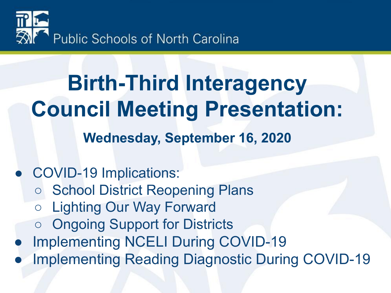

### **Birth-Third Interagency Council Meeting Presentation: Wednesday, September 16, 2020**

#### ● COVID-19 Implications: ○ School District Reopening Plans ○ Lighting Our Way Forward **Ongoing Support for Districts Implementing NCELI During COVID-19 Implementing Reading Diagnostic During COVID-19**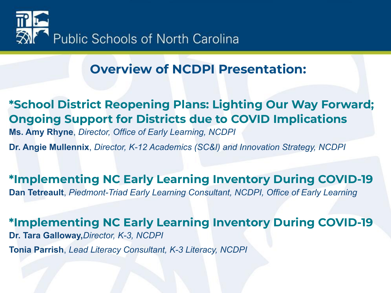

#### **Overview of NCDPI Presentation:**

**\*School District Reopening Plans: Lighting Our Way Forward; Ongoing Support for Districts due to COVID Implications Ms. Amy Rhyne**, *Director, Office of Early Learning, NCDPI* **Dr. Angie Mullennix**, *Director, K-12 Academics (SC&I) and Innovation Strategy, NCDPI*

**\*Implementing NC Early Learning Inventory During COVID-19 Dan Tetreault**, *Piedmont-Triad Early Learning Consultant, NCDPI, Office of Early Learning*

**\*Implementing NC Early Learning Inventory During COVID-19 Dr. Tara Galloway,***Director, K-3, NCDPI*

**Tonia Parrish**, *Lead Literacy Consultant, K-3 Literacy, NCDPI*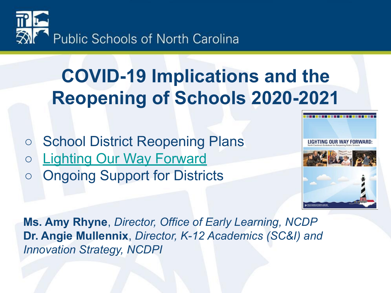

### **COVID-19 Implications and the Reopening of Schools 2020-2021**

- School District Reopening Plans
- [Lighting Our Way Forward](https://www.dpi.nc.gov/news/covid-19-response-resources/lighting-our-way-forward)
- Ongoing Support for Districts



**Ms. Amy Rhyne**, *Director, Office of Early Learning, NCDP* **Dr. Angie Mullennix**, *Director, K-12 Academics (SC&I) and Innovation Strategy, NCDPI*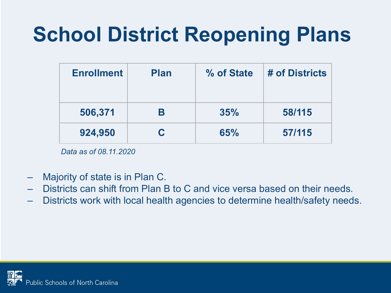### **School District Reopening Plans**

| <b>Enrollment</b> | <b>Plan</b> | % of State | # of Districts |  |
|-------------------|-------------|------------|----------------|--|
| 506,371           | В           | 35%        | 58/115         |  |
| 924,950           | C           | 65%        | 57/115         |  |

*Data as of 08.11.2020*

- Majority of state is in Plan C.
- Districts can shift from Plan B to C and vice versa based on their needs.
- Districts work with local health agencies to determine health/safety needs.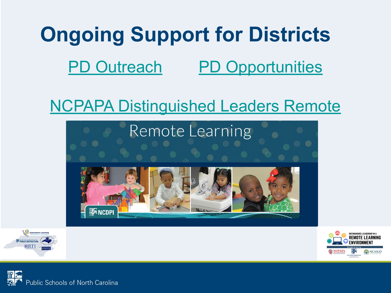# **Ongoing Support for Districts** [PD Outreach](https://docs.google.com/document/d/1Pc7EXqYuM0lHUrvFl2hn_jvKc7JeYlZ8HcPStstTX28/edit?usp=sharing) [PD Opportunities](https://www.ncpapa.net/domain/1039)

#### [NCPAPA Distinguished Leaders Remote](https://www.ncpapa.net/domain/1039)







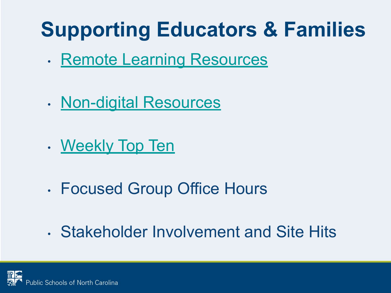## **Supporting Educators & Families**

- [Remote Learning Resources](https://sites.google.com/dpi.nc.gov/remote-learning-resources/home/parent-resources?authuser=0)
- [Non-digital Resources](https://sites.google.com/dpi.nc.gov/nck-3fap/remote-learning?authuser=0)
- [Weekly Top Ten](https://docs.google.com/document/d/1m598er4cj2J2Ckz3dXZbSptgLCk_Y1NQ3akiLH96hMM/edit)
- Focused Group Office Hours
- Stakeholder Involvement and Site Hits

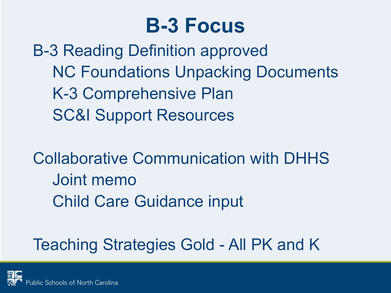### **B-3 Focus**

B-3 Reading Definition approved NC Foundations Unpacking Documents K-3 Comprehensive Plan SC&I Support Resources

Collaborative Communication with DHHS Joint memo Child Care Guidance input

#### Teaching Strategies Gold - All PK and K

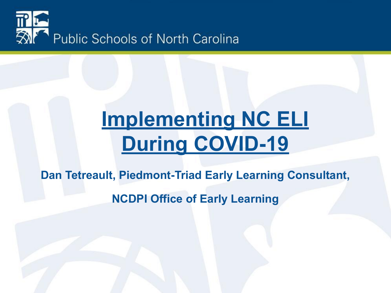

### **Implementing NC ELI During COVID-19**

**Dan Tetreault, Piedmont-Triad Early Learning Consultant,** 

**NCDPI Office of Early Learning**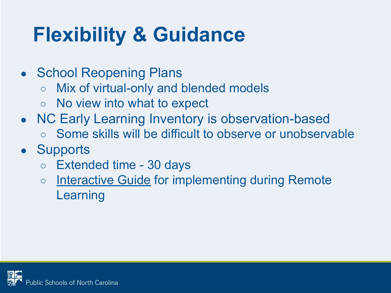### **Flexibility & Guidance**

- School Reopening Plans
	- Mix of virtual-only and blended models
	- No view into what to expect
- NC Early Learning Inventory is observation-based
	- Some skills will be difficult to observe or unobservable
- Supports
	- Extended time 30 days
	- o [Interactive Guide](https://sites.google.com/dpi.nc.gov/nck-3fap/nc-early-learning-inventory/implementing-nc-eli-during-covid-19) for implementing during Remote Learning

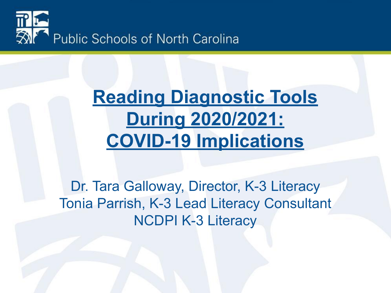

#### **Reading Diagnostic Tools During 2020/2021: COVID-19 Implications**

Dr. Tara Galloway, Director, K-3 Literacy Tonia Parrish, K-3 Lead Literacy Consultant NCDPI K-3 Literacy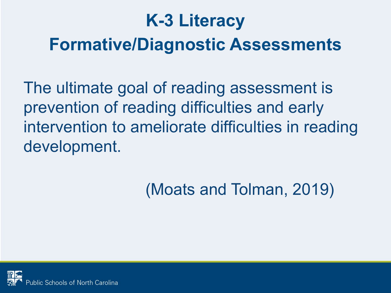### **K-3 Literacy Formative/Diagnostic Assessments**

The ultimate goal of reading assessment is prevention of reading difficulties and early intervention to ameliorate difficulties in reading development.

#### (Moats and Tolman, 2019)

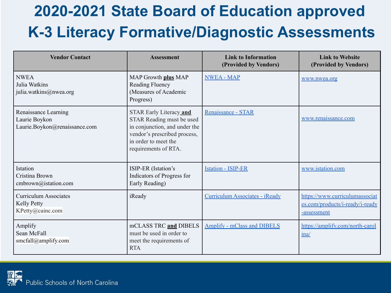#### **2020-2021 State Board of Education approved K-3 Literacy Formative/Diagnostic Assessments**

| <b>Vendor Contact</b>                                                  | <b>Assessment</b>                                                                                                                                                     | <b>Link to Information</b><br>(Provided by Vendors) | <b>Link to Website</b><br>(Provided by Vendors)                                  |  |
|------------------------------------------------------------------------|-----------------------------------------------------------------------------------------------------------------------------------------------------------------------|-----------------------------------------------------|----------------------------------------------------------------------------------|--|
| <b>NWEA</b><br>Julia Watkins<br>julia.watkins@nwea.org                 | MAP Growth plus MAP<br>Reading Fluency<br>(Measures of Academic<br>Progress)                                                                                          | <b>NWEA - MAP</b>                                   | www.nwea.org                                                                     |  |
| Renaissance Learning<br>Laurie Boykon<br>Laurie.Boykon@renaissance.com | STAR Early Literacy and<br>STAR Reading must be used<br>in conjunction, and under the<br>vendor's prescribed process,<br>in order to meet the<br>requirements of RTA. | Renaissance - STAR                                  | www.renaissance.com                                                              |  |
| Istation<br>Cristina Brown<br>cmbrown@istation.com                     | ISIP-ER (Istation's<br>Indicators of Progress for<br>Early Reading)                                                                                                   | <b>Istation - ISIP-ER</b>                           | www.istation.com                                                                 |  |
| <b>Curriculum Associates</b><br><b>Kelly Petty</b><br>KPetty@cainc.com | iReady                                                                                                                                                                | Curriculum Associates - iReady                      | https://www.curriculumassociat<br>es.com/products/i-ready/i-ready<br>-assessment |  |
| Amplify<br>Sean McFall<br>smcfall@amplify.com                          | mCLASS TRC and DIBELS<br>must be used in order to<br>meet the requirements of<br><b>RTA</b>                                                                           | <b>Amplify - mClass and DIBELS</b>                  | https://amplify.com/north-carol<br>ina/                                          |  |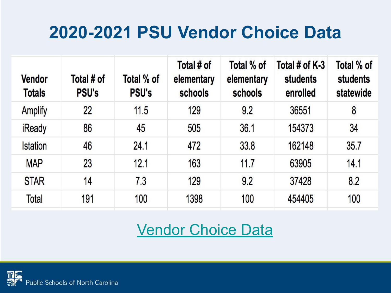#### **2020-2021 PSU Vendor Choice Data**

| <b>Vendor</b><br><b>Totals</b> | Total # of<br><b>PSU's</b> | Total % of<br><b>PSU's</b> | Total # of<br>elementary<br>schools | Total % of<br>elementary<br>schools | Total # of $K-3$<br>students<br>enrolled | Total % of<br><b>students</b><br>statewide |
|--------------------------------|----------------------------|----------------------------|-------------------------------------|-------------------------------------|------------------------------------------|--------------------------------------------|
| <b>Amplify</b>                 | 22                         | 11.5                       | 129                                 | 9.2                                 | 36551                                    | 8                                          |
| <b>iReady</b>                  | 86                         | 45                         | 505                                 | 36.1                                | 154373                                   | 34                                         |
| <b>Istation</b>                | 46                         | 24.1                       | 472                                 | 33.8                                | 162148                                   | 35.7                                       |
| <b>MAP</b>                     | 23                         | 12.1                       | 163                                 | 11.7                                | 63905                                    | 14.1                                       |
| <b>STAR</b>                    | 14                         | 7.3                        | 129                                 | 9.2                                 | 37428                                    | 8.2                                        |
| Total                          | 191                        | 100                        | 1398                                | 100                                 | 454405                                   | 100                                        |

#### [Vendor Choice Data](https://docs.google.com/spreadsheets/d/1PzNEmpSOEXUMw219H__F0T7aibL9V9tdWsh92rHj3t8/edit)